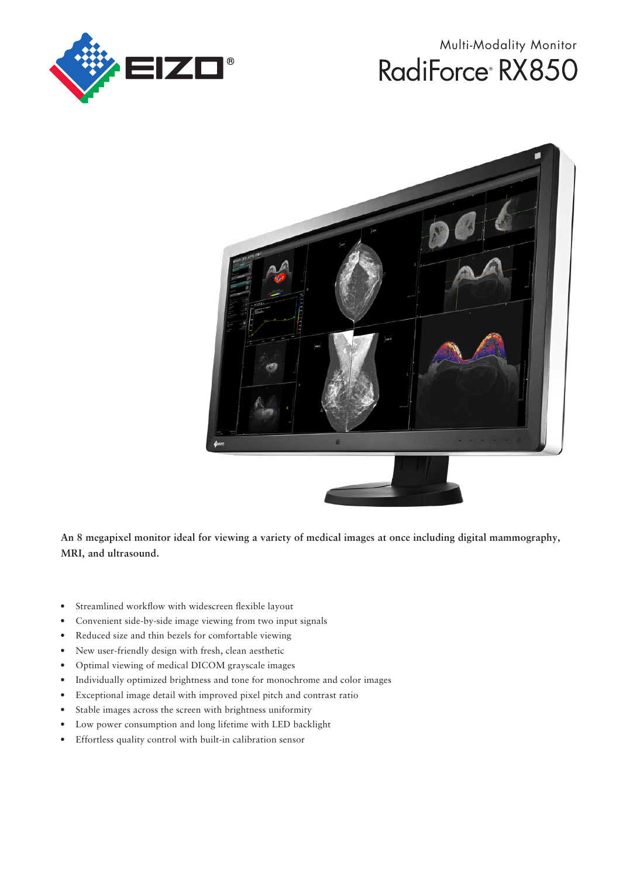

# Multi-Modality Monitor RadiForce<sup>®</sup> RX850



**An 8 megapixel monitor ideal for viewing a variety of medical images at once including digital mammography, MRI, and ultrasound.**

- Streamlined workflow with widescreen flexible layout
- Convenient side-by-side image viewing from two input signals
- Reduced size and thin bezels for comfortable viewing
- New user-friendly design with fresh, clean aesthetic
- Optimal viewing of medical DICOM grayscale images
- Individually optimized brightness and tone for monochrome and color images
- Exceptional image detail with improved pixel pitch and contrast ratio
- Stable images across the screen with brightness uniformity
- Low power consumption and long lifetime with LED backlight
- Effortless quality control with built-in calibration sensor